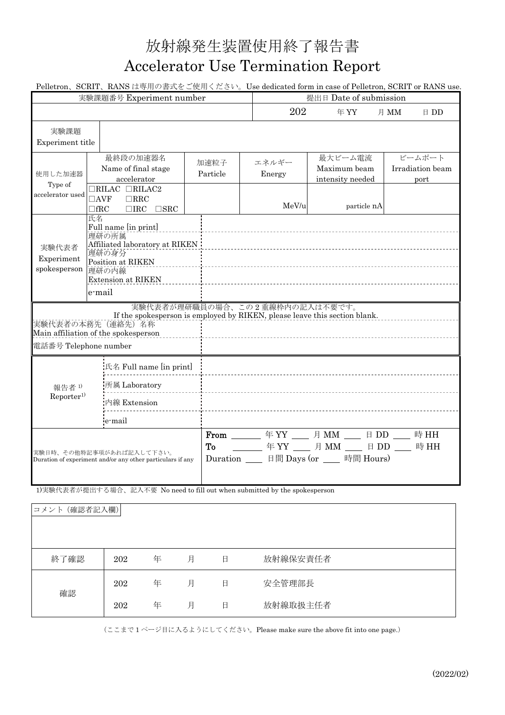## 放射線発生装置使用終了報告書 Accelerator Use Termination Report

Pelletron、SCRIT、RANS は専用の書式をご使用ください。Use dedicated form in case of Pelletron, SCRIT or RANS use.

| 実験課題番号 Experiment number                                                                                                                                                   |                                                                                                              |                                                                   |                  |                                                                                                                        | 提出日 Date of submission                      |                                    |  |  |
|----------------------------------------------------------------------------------------------------------------------------------------------------------------------------|--------------------------------------------------------------------------------------------------------------|-------------------------------------------------------------------|------------------|------------------------------------------------------------------------------------------------------------------------|---------------------------------------------|------------------------------------|--|--|
|                                                                                                                                                                            |                                                                                                              |                                                                   |                  | 202                                                                                                                    | 年YY                                         | 月 MM<br>$\boxminus$ DD             |  |  |
| 実験課題<br>Experiment title                                                                                                                                                   |                                                                                                              |                                                                   |                  |                                                                                                                        |                                             |                                    |  |  |
| 使用した加速器<br>Type of<br>accelerator used                                                                                                                                     |                                                                                                              | 最終段の加速器名<br>Name of final stage<br>accelerator                    | 加速粒子<br>Particle | エネルギー<br>Energy                                                                                                        | 最大ビーム電流<br>Maximum beam<br>intensity needed | ビームポート<br>Irradiation beam<br>port |  |  |
|                                                                                                                                                                            | $\Box$ AVF<br>$\Box$ fRC                                                                                     | $\Box$ RILAC $\Box$ RILAC2<br>$\Box$ RRC<br>$\Box$ IRC $\Box$ SRC |                  | MeV/u                                                                                                                  | particle nA                                 |                                    |  |  |
| 実験代表者<br>Experiment<br>spokesperson                                                                                                                                        | 氏名<br>Full name [in print]<br>理研の所属<br>Affiliated laboratory at RIKEN<br>理研の身分<br>Position at RIKEN<br>理研の内線 |                                                                   |                  |                                                                                                                        |                                             |                                    |  |  |
|                                                                                                                                                                            | e-mail                                                                                                       |                                                                   |                  |                                                                                                                        |                                             |                                    |  |  |
| 実験代表者が理研職員の場合、この2重線枠内の記入は不要です。<br>If the spokesperson is employed by RIKEN, please leave this section blank.<br>実験代表者の本務先 (連絡先) 名称<br>Main affiliation of the spokesperson |                                                                                                              |                                                                   |                  |                                                                                                                        |                                             |                                    |  |  |
| 電話番号 Telephone number                                                                                                                                                      |                                                                                                              |                                                                   |                  |                                                                                                                        |                                             |                                    |  |  |
| 報告者1)<br>Reporter <sup>1</sup>                                                                                                                                             |                                                                                                              | 氏名 Full name [in print]                                           |                  |                                                                                                                        |                                             |                                    |  |  |
|                                                                                                                                                                            |                                                                                                              | 所属 Laboratory                                                     |                  |                                                                                                                        |                                             |                                    |  |  |
|                                                                                                                                                                            |                                                                                                              | 内線 Extension                                                      |                  |                                                                                                                        |                                             |                                    |  |  |
|                                                                                                                                                                            |                                                                                                              | e-mail                                                            |                  |                                                                                                                        |                                             |                                    |  |  |
| 実験日時、その他特記事項があれば記入して下さい。<br>Duration of experiment and/or any other particulars if any                                                                                     |                                                                                                              | To                                                                |                  | From ______ 年 YY ___ 月 MM ___ 日 DD ___ 時 HH<br>年YY __ 月 MM __ 日 DD __ 時 HH<br>Duration ____ 日間 Days (or ____ 時間 Hours) |                                             |                                    |  |  |

1)実験代表者が提出する場合、記入不要 No need to fill out when submitted by the spokesperson

| (確認者記入欄)<br>コメント |     |   |   |   |          |
|------------------|-----|---|---|---|----------|
| 終了確認             | 202 | 年 | 月 | 日 | 放射線保安責任者 |
| 確認               | 202 | 年 | 月 | 日 | 安全管理部長   |
|                  | 202 | 年 | 月 | 日 | 放射線取扱主任者 |

(ここまで 1 ページ目に入るようにしてください。Please make sure the above fit into one page.)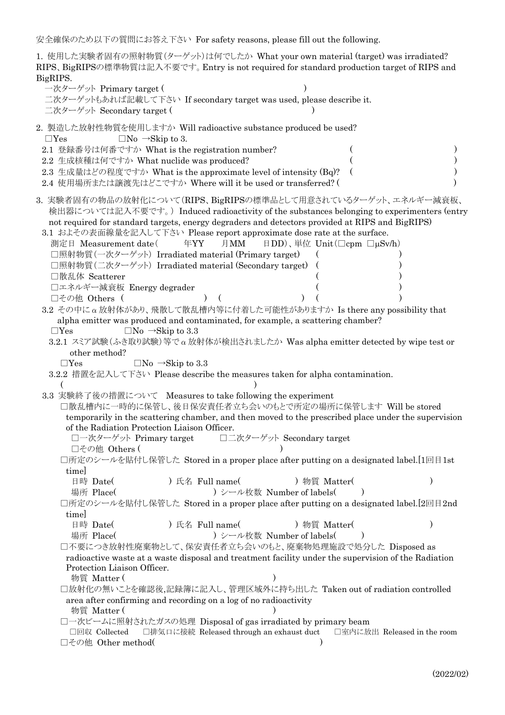安全確保のため以下の質問にお答え下さい For safety reasons, please fill out the following.

| 安全確保のため以下の質問にお答え下さい For safety reasons, please fill out the following.                                                                                                                                                                                                                                                                                                                                                                                                                                                                                                                                                                                                                                                                                                                                                                                                                                                                                                                                                                                                                                                                                                                                                                                                                                                                                                                                                                                                                                                                                                                                                                                                                                                                                                                                                                                                          |
|---------------------------------------------------------------------------------------------------------------------------------------------------------------------------------------------------------------------------------------------------------------------------------------------------------------------------------------------------------------------------------------------------------------------------------------------------------------------------------------------------------------------------------------------------------------------------------------------------------------------------------------------------------------------------------------------------------------------------------------------------------------------------------------------------------------------------------------------------------------------------------------------------------------------------------------------------------------------------------------------------------------------------------------------------------------------------------------------------------------------------------------------------------------------------------------------------------------------------------------------------------------------------------------------------------------------------------------------------------------------------------------------------------------------------------------------------------------------------------------------------------------------------------------------------------------------------------------------------------------------------------------------------------------------------------------------------------------------------------------------------------------------------------------------------------------------------------------------------------------------------------|
| 1. 使用した実験者固有の照射物質(ターゲット)は何でしたか What your own material (target) was irradiated?<br>RIPS、BigRIPSの標準物質は記入不要です。Entry is not required for standard production target of RIPS and<br>BigRIPS.<br>一次ターゲット Primary target (<br>二次ターゲットもあれば記載して下さい If secondary target was used, please describe it.<br>二次ターゲット Secondary target (                                                                                                                                                                                                                                                                                                                                                                                                                                                                                                                                                                                                                                                                                                                                                                                                                                                                                                                                                                                                                                                                                                                                                                                                                                                                                                                                                                                                                                                                                                                                                       |
| 2. 製造した放射性物質を使用しますか Will radioactive substance produced be used?<br>$\Box$ No $\rightarrow$ Skip to 3.<br>$\Box$ Yes<br>2.1 登録番号は何番ですか What is the registration number?<br>2.2 生成核種は何ですか What nuclide was produced?<br>2.3 生成量はどの程度ですか What is the approximate level of intensity (Bq)?<br>2.4 使用場所または譲渡先はどこですか Where will it be used or transferred? (                                                                                                                                                                                                                                                                                                                                                                                                                                                                                                                                                                                                                                                                                                                                                                                                                                                                                                                                                                                                                                                                                                                                                                                                                                                                                                                                                                                                                                                                                                                         |
| 3. 実験者固有の物品の放射化について(RIPS、BigRIPSの標準品として用意されているターゲット、エネルギー減衰板、<br>検出器については記入不要です。) Induced radioactivity of the substances belonging to experimenters (entry<br>not required for standard targets, energy degraders and detectors provided at RIPS and BigRIPS)<br>3.1 およその表面線量を記入して下さい Please report approximate dose rate at the surface.<br>測定日 Measurement date(<br>年YY<br>月MM<br>日DD)、単位 Unit(□cpm □µSv/h)<br>□照射物質(一次ターゲット) Irradiated material (Primary target)<br>□照射物質(二次ターゲット) Irradiated material (Secondary target)<br>□散乱体 Scatterer<br>□エネルギー減衰板 Energy degrader<br>□その他 Others (<br>3.2 その中に $\alpha$ 放射体があり、飛散して散乱槽内等に付着した可能性がありますか Is there any possibility that<br>alpha emitter was produced and contaminated, for example, a scattering chamber?<br>$\Box$ No $\rightarrow$ Skip to 3.3<br>$\Box$ Yes<br>3.2.1 スミア試験 (ふき取り試験)等で $\alpha$ 放射体が検出されましたか Was alpha emitter detected by wipe test or<br>other method?<br>$\Box$ Yes<br>$\Box$ No $\rightarrow$ Skip to 3.3<br>3.2.2 措置を記入して下さい Please describe the measures taken for alpha contamination.<br>3.3 実験終了後の措置について Measures to take following the experiment<br>□散乱槽内に一時的に保管し、後日保安責任者立ち会いのもとで所定の場所に保管します Will be stored<br>temporarily in the scattering chamber, and then moved to the prescribed place under the supervision<br>of the Radiation Protection Liaison Officer.<br>□一次ターゲット Primary target<br>□二次ターゲット Secondary target<br>□その他 Others (<br>□所定のシールを貼付し保管した Stored in a proper place after putting on a designated label.[1回目1st<br>time]<br>日時 Date(<br>) 氏名 Full name(<br>) 物質 Matter(<br>) シール枚数 Number of labels(<br>場所 Place(<br>□所定のシールを貼付し保管した Stored in a proper place after putting on a designated label.[2回目2nd<br>time]<br>日時 Date(<br>) 氏名 Full name(<br>) 物質 Matter(<br>) シール枚数 Number of labels(<br>場所 Place(<br>□不要につき放射性廃棄物として、保安責任者立ち会いのもと、廃棄物処理施設で処分した Disposed as |
| radioactive waste at a waste disposal and treatment facility under the supervision of the Radiation<br>Protection Liaison Officer.<br>物質 Matter (<br>□放射化の無いことを確認後,記録簿に記入し、管理区域外に持ち出した Taken out of radiation controlled<br>area after confirming and recording on a log of no radioactivity<br>物質 Matter (<br>□一次ビームに照射されたガスの処理 Disposal of gas irradiated by primary beam<br>□排気口に接続 Released through an exhaust duct<br>□回収 Collected<br>□室内に放出 Released in the room<br>□その他 Other method(                                                                                                                                                                                                                                                                                                                                                                                                                                                                                                                                                                                                                                                                                                                                                                                                                                                                                                                                                                                                                                                                                                                                                                                                                                                                                                                                                                                   |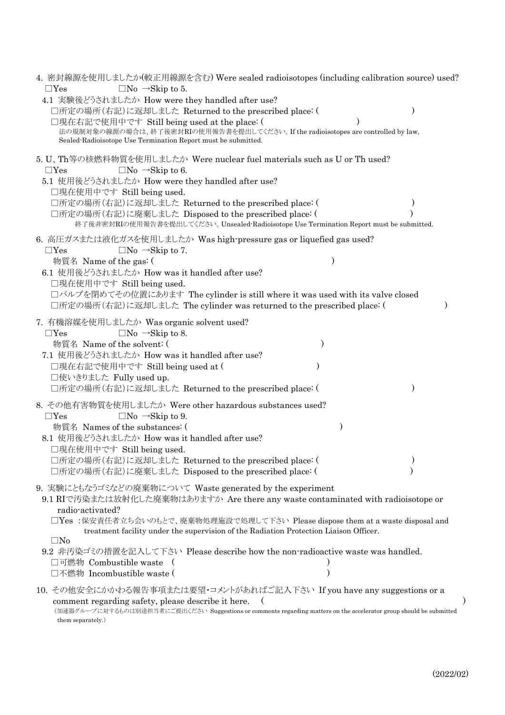| 4. 密封線源を使用しましたか(較正用線源を含む) Were sealed radioisotopes (including calibration source) used?<br>$\Box$ Yes<br>$\Box$ No $\rightarrow$ Skip to 5.                                                                                                                                                                                                                                                                                                                                                              |  |
|-----------------------------------------------------------------------------------------------------------------------------------------------------------------------------------------------------------------------------------------------------------------------------------------------------------------------------------------------------------------------------------------------------------------------------------------------------------------------------------------------------------|--|
| 4.1 実験後どうされましたか How were they handled after use?<br>□所定の場所(右記)に返却しました Returned to the prescribed place: (<br>□現在右記で使用中です Still being used at the place: (<br>法の規制対象の線源の場合は、終了後密封RIの使用報告書を提出してください。If the radioisotopes are controlled by law,<br>Sealed-Radioisotope Use Termination Report must be submitted.                                                                                                                                                                                            |  |
| 5. U、Th等の核燃料物質を使用しましたか Were nuclear fuel materials such as U or Th used?<br>$\Box$ Yes<br>$\Box$ No $\rightarrow$ Skip to 6.<br>5.1 使用後どうされましたか How were they handled after use?<br>□現在使用中です Still being used.<br>□所定の場所(右記)に返却しました Returned to the prescribed place: (<br>□所定の場所(右記)に廃棄しました Disposed to the prescribed place: (<br>終了後非密封RIの使用報告書を提出してください。Unsealed Radioisotope Use Termination Report must be submitted.                                                                               |  |
| 6. 高圧ガスまたは液化ガスを使用しましたか Was high-pressure gas or liquefied gas used?<br>$\Box$ Yes<br>$\Box$ No $\rightarrow$ Skip to 7.<br>物質名 Name of the gas: (<br>6.1 使用後どうされましたか How was it handled after use?<br>□現在使用中です Still being used.<br>□バルブを閉めてその位置にあります The cylinder is still where it was used with its valve closed<br>□所定の場所(右記)に返却しました The cylinder was returned to the prescribed place: (                                                                                                             |  |
| 7. 有機溶媒を使用しましたか Was organic solvent used?<br>$\Box$ No $\rightarrow$ Skip to 8.<br>$\Box$ Yes<br>物質名 Name of the solvent: (<br>7.1 使用後どうされましたか How was it handled after use?<br>□現在右記で使用中です Still being used at (<br>□使いきりました Fully used up.<br>□所定の場所(右記)に返却しました Returned to the prescribed place: (                                                                                                                                                                                                     |  |
| 8. その他有害物質を使用しましたか Were other hazardous substances used?<br>$\Box$ No $\rightarrow$ Skip to 9.<br>$\Box$ Yes<br>物質名 Names of the substances: (<br>$\lambda$<br>8.1 使用後どうされましたか How was it handled after use?<br>□現在使用中です Still being used.<br>□所定の場所(右記)に返却しました Returned to the prescribed place: (<br>□所定の場所(右記)に廃棄しました Disposed to the prescribed place: (                                                                                                                                              |  |
| 9. 実験にともなうゴミなどの廃棄物について Waste generated by the experiment<br>9.1 RIで汚染または放射化した廃棄物はありますか Are there any waste contaminated with radioisotope or<br>radio-activated?<br>□Yes :保安責任者立ち会いのもとで、廃棄物処理施設で処理して下さい Please dispose them at a waste disposal and<br>treatment facility under the supervision of the Radiation Protection Liaison Officer.<br>$\square$ No<br>9.2 非汚染ゴミの措置を記入して下さい Please describe how the non-radioactive waste was handled.<br>□可燃物 Combustible waste (<br>□不燃物 Incombustible waste ( |  |
| 10. その他安全にかかわる報告事項または要望・コメントがあればご記入下さい If you have any suggestions or a<br>comment regarding safety, please describe it here.<br>(加速器グループに対するものは別途担当者にご提出ください Suggestions or comments regarding matters on the accelerator group should be submitted<br>them separately.)                                                                                                                                                                                                                                 |  |